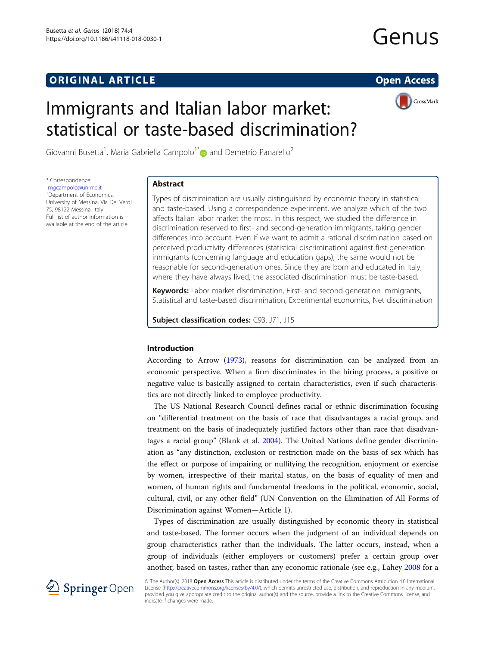## **ORIGINAL ARTICLE CONSUMING A LIGACION CONSUMING A LIGACION**

# Genus



## Immigrants and Italian labor market: statistical or taste-based discrimination?

Giovanni Busetta<sup>1</sup>, Maria Gabriella Campolo<sup>1[\\*](http://orcid.org/0000-0002-1075-4573)</sup> and Demetrio Panarello<sup>2</sup>

\* Correspondence:

[mgcampolo@unime.it](mailto:mgcampolo@unime.it) 1 Department of Economics, University of Messina, Via Dei Verdi 75, 98122 Messina, Italy Full list of author information is available at the end of the article

## Abstract

Types of discrimination are usually distinguished by economic theory in statistical and taste-based. Using a correspondence experiment, we analyze which of the two affects Italian labor market the most. In this respect, we studied the difference in discrimination reserved to first- and second-generation immigrants, taking gender differences into account. Even if we want to admit a rational discrimination based on perceived productivity differences (statistical discrimination) against first-generation immigrants (concerning language and education gaps), the same would not be reasonable for second-generation ones. Since they are born and educated in Italy, where they have always lived, the associated discrimination must be taste-based.

Keywords: Labor market discrimination, First- and second-generation immigrants, Statistical and taste-based discrimination, Experimental economics, Net discrimination

Subject classification codes: C93, J71, J15

## Introduction

According to Arrow ([1973\)](#page-18-0), reasons for discrimination can be analyzed from an economic perspective. When a firm discriminates in the hiring process, a positive or negative value is basically assigned to certain characteristics, even if such characteristics are not directly linked to employee productivity.

The US National Research Council defines racial or ethnic discrimination focusing on "differential treatment on the basis of race that disadvantages a racial group, and treatment on the basis of inadequately justified factors other than race that disadvantages a racial group" (Blank et al. [2004\)](#page-18-0). The United Nations define gender discrimination as "any distinction, exclusion or restriction made on the basis of sex which has the effect or purpose of impairing or nullifying the recognition, enjoyment or exercise by women, irrespective of their marital status, on the basis of equality of men and women, of human rights and fundamental freedoms in the political, economic, social, cultural, civil, or any other field" (UN Convention on the Elimination of All Forms of Discrimination against Women—Article 1).

Types of discrimination are usually distinguished by economic theory in statistical and taste-based. The former occurs when the judgment of an individual depends on group characteristics rather than the individuals. The latter occurs, instead, when a group of individuals (either employers or customers) prefer a certain group over another, based on tastes, rather than any economic rationale (see e.g., Lahey [2008](#page-18-0) for a



© The Author(s). 2018 Open Access This article is distributed under the terms of the Creative Commons Attribution 4.0 International License [\(http://creativecommons.org/licenses/by/4.0/](http://creativecommons.org/licenses/by/4.0/)), which permits unrestricted use, distribution, and reproduction in any medium, provided you give appropriate credit to the original author(s) and the source, provide a link to the Creative Commons license, and indicate if changes were made.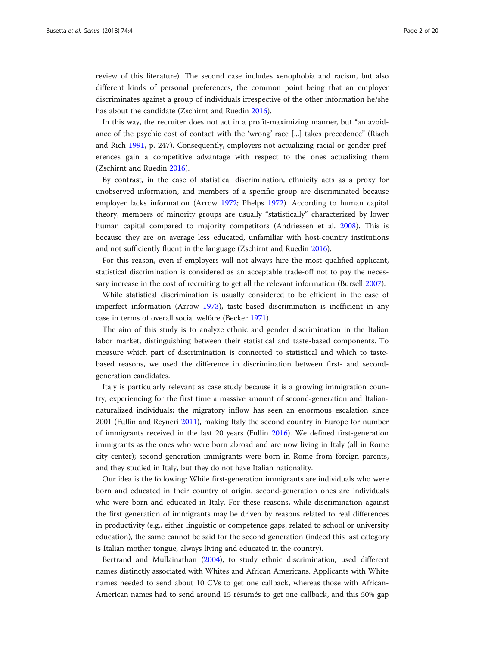review of this literature). The second case includes xenophobia and racism, but also different kinds of personal preferences, the common point being that an employer discriminates against a group of individuals irrespective of the other information he/she has about the candidate (Zschirnt and Ruedin [2016](#page-19-0)).

In this way, the recruiter does not act in a profit-maximizing manner, but "an avoidance of the psychic cost of contact with the 'wrong' race [...] takes precedence" (Riach and Rich [1991,](#page-19-0) p. 247). Consequently, employers not actualizing racial or gender preferences gain a competitive advantage with respect to the ones actualizing them (Zschirnt and Ruedin [2016\)](#page-19-0).

By contrast, in the case of statistical discrimination, ethnicity acts as a proxy for unobserved information, and members of a specific group are discriminated because employer lacks information (Arrow [1972](#page-18-0); Phelps [1972\)](#page-19-0). According to human capital theory, members of minority groups are usually "statistically" characterized by lower human capital compared to majority competitors (Andriessen et al. [2008](#page-17-0)). This is because they are on average less educated, unfamiliar with host-country institutions and not sufficiently fluent in the language (Zschirnt and Ruedin [2016\)](#page-19-0).

For this reason, even if employers will not always hire the most qualified applicant, statistical discrimination is considered as an acceptable trade-off not to pay the necessary increase in the cost of recruiting to get all the relevant information (Bursell [2007\)](#page-18-0).

While statistical discrimination is usually considered to be efficient in the case of imperfect information (Arrow [1973\)](#page-18-0), taste-based discrimination is inefficient in any case in terms of overall social welfare (Becker [1971](#page-18-0)).

The aim of this study is to analyze ethnic and gender discrimination in the Italian labor market, distinguishing between their statistical and taste-based components. To measure which part of discrimination is connected to statistical and which to tastebased reasons, we used the difference in discrimination between first- and secondgeneration candidates.

Italy is particularly relevant as case study because it is a growing immigration country, experiencing for the first time a massive amount of second-generation and Italiannaturalized individuals; the migratory inflow has seen an enormous escalation since 2001 (Fullin and Reyneri [2011](#page-18-0)), making Italy the second country in Europe for number of immigrants received in the last 20 years (Fullin [2016](#page-18-0)). We defined first-generation immigrants as the ones who were born abroad and are now living in Italy (all in Rome city center); second-generation immigrants were born in Rome from foreign parents, and they studied in Italy, but they do not have Italian nationality.

Our idea is the following: While first-generation immigrants are individuals who were born and educated in their country of origin, second-generation ones are individuals who were born and educated in Italy. For these reasons, while discrimination against the first generation of immigrants may be driven by reasons related to real differences in productivity (e.g., either linguistic or competence gaps, related to school or university education), the same cannot be said for the second generation (indeed this last category is Italian mother tongue, always living and educated in the country).

Bertrand and Mullainathan [\(2004](#page-18-0)), to study ethnic discrimination, used different names distinctly associated with Whites and African Americans. Applicants with White names needed to send about 10 CVs to get one callback, whereas those with African-American names had to send around 15 résumés to get one callback, and this 50% gap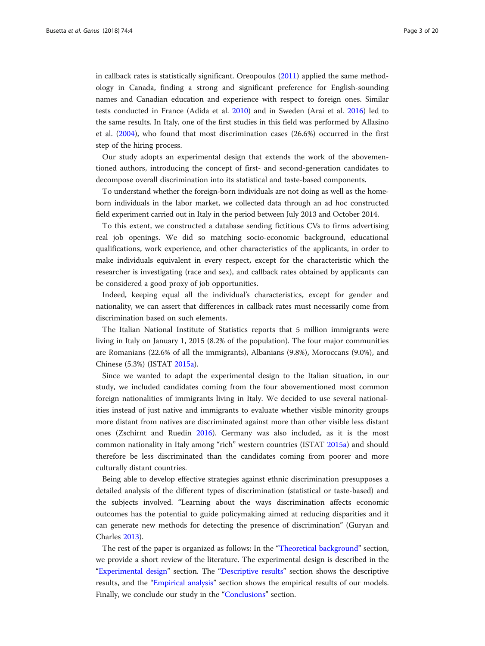in callback rates is statistically significant. Oreopoulos ([2011](#page-19-0)) applied the same methodology in Canada, finding a strong and significant preference for English-sounding names and Canadian education and experience with respect to foreign ones. Similar tests conducted in France (Adida et al. [2010\)](#page-17-0) and in Sweden (Arai et al. [2016](#page-18-0)) led to the same results. In Italy, one of the first studies in this field was performed by Allasino et al. ([2004\)](#page-17-0), who found that most discrimination cases (26.6%) occurred in the first step of the hiring process.

Our study adopts an experimental design that extends the work of the abovementioned authors, introducing the concept of first- and second-generation candidates to decompose overall discrimination into its statistical and taste-based components.

To understand whether the foreign-born individuals are not doing as well as the homeborn individuals in the labor market, we collected data through an ad hoc constructed field experiment carried out in Italy in the period between July 2013 and October 2014.

To this extent, we constructed a database sending fictitious CVs to firms advertising real job openings. We did so matching socio-economic background, educational qualifications, work experience, and other characteristics of the applicants, in order to make individuals equivalent in every respect, except for the characteristic which the researcher is investigating (race and sex), and callback rates obtained by applicants can be considered a good proxy of job opportunities.

Indeed, keeping equal all the individual's characteristics, except for gender and nationality, we can assert that differences in callback rates must necessarily come from discrimination based on such elements.

The Italian National Institute of Statistics reports that 5 million immigrants were living in Italy on January 1, 2015 (8.2% of the population). The four major communities are Romanians (22.6% of all the immigrants), Albanians (9.8%), Moroccans (9.0%), and Chinese (5.3%) (ISTAT [2015a](#page-18-0)).

Since we wanted to adapt the experimental design to the Italian situation, in our study, we included candidates coming from the four abovementioned most common foreign nationalities of immigrants living in Italy. We decided to use several nationalities instead of just native and immigrants to evaluate whether visible minority groups more distant from natives are discriminated against more than other visible less distant ones (Zschirnt and Ruedin [2016\)](#page-19-0). Germany was also included, as it is the most common nationality in Italy among "rich" western countries (ISTAT [2015a\)](#page-18-0) and should therefore be less discriminated than the candidates coming from poorer and more culturally distant countries.

Being able to develop effective strategies against ethnic discrimination presupposes a detailed analysis of the different types of discrimination (statistical or taste-based) and the subjects involved. "Learning about the ways discrimination affects economic outcomes has the potential to guide policymaking aimed at reducing disparities and it can generate new methods for detecting the presence of discrimination" (Guryan and Charles [2013\)](#page-18-0).

The rest of the paper is organized as follows: In the "[Theoretical background](#page-3-0)" section, we provide a short review of the literature. The experimental design is described in the "[Experimental design](#page-5-0)" section. The "[Descriptive results](#page-7-0)" section shows the descriptive results, and the "[Empirical analysis](#page-13-0)" section shows the empirical results of our models. Finally, we conclude our study in the "[Conclusions](#page-14-0)" section.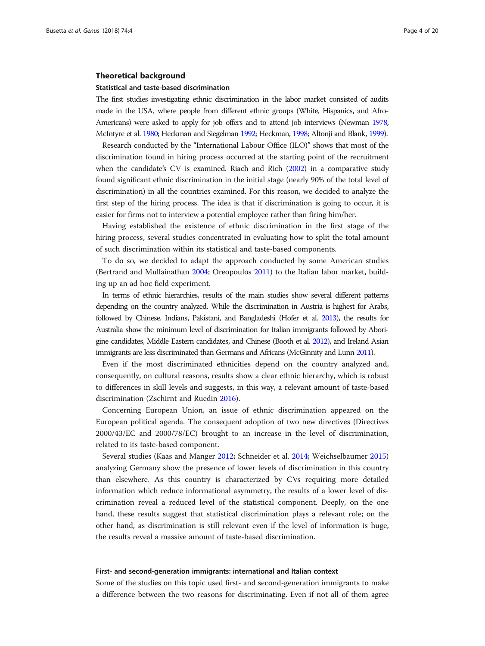#### <span id="page-3-0"></span>Theoretical background

#### Statistical and taste-based discrimination

The first studies investigating ethnic discrimination in the labor market consisted of audits made in the USA, where people from different ethnic groups (White, Hispanics, and Afro-Americans) were asked to apply for job offers and to attend job interviews (Newman [1978](#page-19-0); McIntyre et al. [1980;](#page-18-0) Heckman and Siegelman [1992;](#page-18-0) Heckman, [1998;](#page-18-0) Altonji and Blank, [1999\)](#page-17-0).

Research conducted by the "International Labour Office (ILO)" shows that most of the discrimination found in hiring process occurred at the starting point of the recruitment when the candidate's CV is examined. Riach and Rich ([2002\)](#page-19-0) in a comparative study found significant ethnic discrimination in the initial stage (nearly 90% of the total level of discrimination) in all the countries examined. For this reason, we decided to analyze the first step of the hiring process. The idea is that if discrimination is going to occur, it is easier for firms not to interview a potential employee rather than firing him/her.

Having established the existence of ethnic discrimination in the first stage of the hiring process, several studies concentrated in evaluating how to split the total amount of such discrimination within its statistical and taste-based components.

To do so, we decided to adapt the approach conducted by some American studies (Bertrand and Mullainathan [2004;](#page-18-0) Oreopoulos [2011\)](#page-19-0) to the Italian labor market, building up an ad hoc field experiment.

In terms of ethnic hierarchies, results of the main studies show several different patterns depending on the country analyzed. While the discrimination in Austria is highest for Arabs, followed by Chinese, Indians, Pakistani, and Bangladeshi (Hofer et al. [2013](#page-18-0)), the results for Australia show the minimum level of discrimination for Italian immigrants followed by Aborigine candidates, Middle Eastern candidates, and Chinese (Booth et al. [2012](#page-18-0)), and Ireland Asian immigrants are less discriminated than Germans and Africans (McGinnity and Lunn [2011\)](#page-18-0).

Even if the most discriminated ethnicities depend on the country analyzed and, consequently, on cultural reasons, results show a clear ethnic hierarchy, which is robust to differences in skill levels and suggests, in this way, a relevant amount of taste-based discrimination (Zschirnt and Ruedin [2016\)](#page-19-0).

Concerning European Union, an issue of ethnic discrimination appeared on the European political agenda. The consequent adoption of two new directives (Directives 2000/43/EC and 2000/78/EC) brought to an increase in the level of discrimination, related to its taste-based component.

Several studies (Kaas and Manger [2012;](#page-18-0) Schneider et al. [2014](#page-19-0); Weichselbaumer [2015](#page-19-0)) analyzing Germany show the presence of lower levels of discrimination in this country than elsewhere. As this country is characterized by CVs requiring more detailed information which reduce informational asymmetry, the results of a lower level of discrimination reveal a reduced level of the statistical component. Deeply, on the one hand, these results suggest that statistical discrimination plays a relevant role; on the other hand, as discrimination is still relevant even if the level of information is huge, the results reveal a massive amount of taste-based discrimination.

### First- and second-generation immigrants: international and Italian context

Some of the studies on this topic used first- and second-generation immigrants to make a difference between the two reasons for discriminating. Even if not all of them agree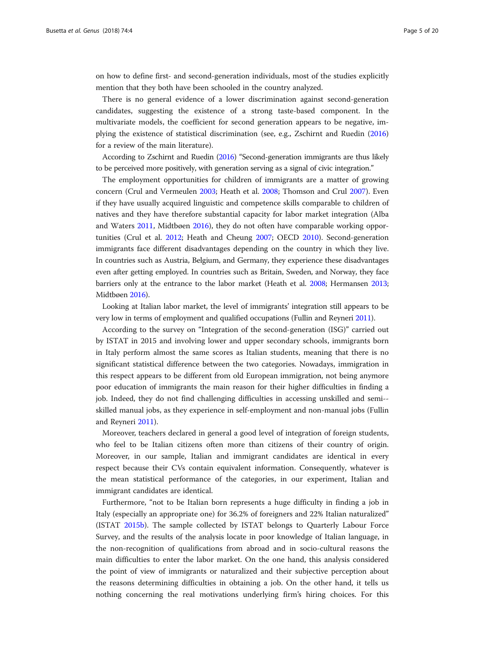on how to define first- and second-generation individuals, most of the studies explicitly mention that they both have been schooled in the country analyzed.

There is no general evidence of a lower discrimination against second-generation candidates, suggesting the existence of a strong taste-based component. In the multivariate models, the coefficient for second generation appears to be negative, implying the existence of statistical discrimination (see, e.g., Zschirnt and Ruedin ([2016](#page-19-0)) for a review of the main literature).

According to Zschirnt and Ruedin ([2016\)](#page-19-0) "Second-generation immigrants are thus likely to be perceived more positively, with generation serving as a signal of civic integration."

The employment opportunities for children of immigrants are a matter of growing concern (Crul and Vermeulen [2003;](#page-18-0) Heath et al. [2008;](#page-18-0) Thomson and Crul [2007](#page-19-0)). Even if they have usually acquired linguistic and competence skills comparable to children of natives and they have therefore substantial capacity for labor market integration (Alba and Waters [2011](#page-17-0), Midtbøen [2016\)](#page-18-0), they do not often have comparable working opportunities (Crul et al. [2012](#page-18-0); Heath and Cheung [2007;](#page-18-0) OECD [2010](#page-19-0)). Second-generation immigrants face different disadvantages depending on the country in which they live. In countries such as Austria, Belgium, and Germany, they experience these disadvantages even after getting employed. In countries such as Britain, Sweden, and Norway, they face barriers only at the entrance to the labor market (Heath et al. [2008;](#page-18-0) Hermansen [2013](#page-18-0); Midtbøen [2016\)](#page-18-0).

Looking at Italian labor market, the level of immigrants' integration still appears to be very low in terms of employment and qualified occupations (Fullin and Reyneri [2011\)](#page-18-0).

According to the survey on "Integration of the second-generation (ISG)" carried out by ISTAT in 2015 and involving lower and upper secondary schools, immigrants born in Italy perform almost the same scores as Italian students, meaning that there is no significant statistical difference between the two categories. Nowadays, immigration in this respect appears to be different from old European immigration, not being anymore poor education of immigrants the main reason for their higher difficulties in finding a job. Indeed, they do not find challenging difficulties in accessing unskilled and semi- skilled manual jobs, as they experience in self-employment and non-manual jobs (Fullin and Reyneri [2011](#page-18-0)).

Moreover, teachers declared in general a good level of integration of foreign students, who feel to be Italian citizens often more than citizens of their country of origin. Moreover, in our sample, Italian and immigrant candidates are identical in every respect because their CVs contain equivalent information. Consequently, whatever is the mean statistical performance of the categories, in our experiment, Italian and immigrant candidates are identical.

Furthermore, "not to be Italian born represents a huge difficulty in finding a job in Italy (especially an appropriate one) for 36.2% of foreigners and 22% Italian naturalized" (ISTAT [2015b](#page-18-0)). The sample collected by ISTAT belongs to Quarterly Labour Force Survey, and the results of the analysis locate in poor knowledge of Italian language, in the non-recognition of qualifications from abroad and in socio-cultural reasons the main difficulties to enter the labor market. On the one hand, this analysis considered the point of view of immigrants or naturalized and their subjective perception about the reasons determining difficulties in obtaining a job. On the other hand, it tells us nothing concerning the real motivations underlying firm's hiring choices. For this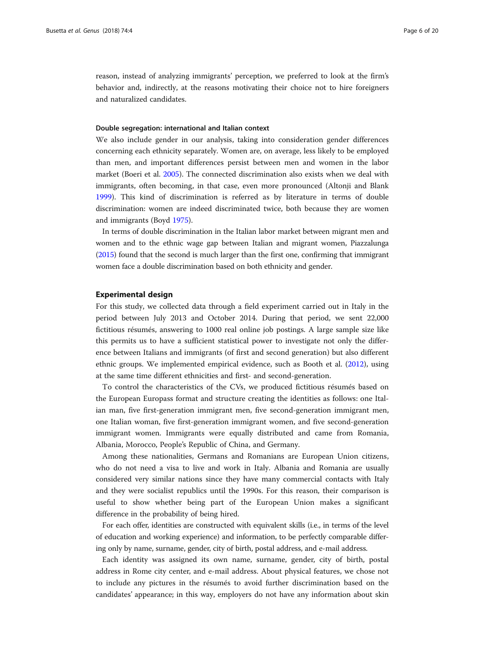<span id="page-5-0"></span>reason, instead of analyzing immigrants' perception, we preferred to look at the firm's behavior and, indirectly, at the reasons motivating their choice not to hire foreigners and naturalized candidates.

#### Double segregation: international and Italian context

We also include gender in our analysis, taking into consideration gender differences concerning each ethnicity separately. Women are, on average, less likely to be employed than men, and important differences persist between men and women in the labor market (Boeri et al. [2005](#page-18-0)). The connected discrimination also exists when we deal with immigrants, often becoming, in that case, even more pronounced (Altonji and Blank [1999](#page-17-0)). This kind of discrimination is referred as by literature in terms of double discrimination: women are indeed discriminated twice, both because they are women and immigrants (Boyd [1975\)](#page-18-0).

In terms of double discrimination in the Italian labor market between migrant men and women and to the ethnic wage gap between Italian and migrant women, Piazzalunga ([2015\)](#page-19-0) found that the second is much larger than the first one, confirming that immigrant women face a double discrimination based on both ethnicity and gender.

## Experimental design

For this study, we collected data through a field experiment carried out in Italy in the period between July 2013 and October 2014. During that period, we sent 22,000 fictitious résumés, answering to 1000 real online job postings. A large sample size like this permits us to have a sufficient statistical power to investigate not only the difference between Italians and immigrants (of first and second generation) but also different ethnic groups. We implemented empirical evidence, such as Booth et al. [\(2012\)](#page-18-0), using at the same time different ethnicities and first- and second-generation.

To control the characteristics of the CVs, we produced fictitious résumés based on the European Europass format and structure creating the identities as follows: one Italian man, five first-generation immigrant men, five second-generation immigrant men, one Italian woman, five first-generation immigrant women, and five second-generation immigrant women. Immigrants were equally distributed and came from Romania, Albania, Morocco, People's Republic of China, and Germany.

Among these nationalities, Germans and Romanians are European Union citizens, who do not need a visa to live and work in Italy. Albania and Romania are usually considered very similar nations since they have many commercial contacts with Italy and they were socialist republics until the 1990s. For this reason, their comparison is useful to show whether being part of the European Union makes a significant difference in the probability of being hired.

For each offer, identities are constructed with equivalent skills (i.e., in terms of the level of education and working experience) and information, to be perfectly comparable differing only by name, surname, gender, city of birth, postal address, and e-mail address.

Each identity was assigned its own name, surname, gender, city of birth, postal address in Rome city center, and e-mail address. About physical features, we chose not to include any pictures in the résumés to avoid further discrimination based on the candidates' appearance; in this way, employers do not have any information about skin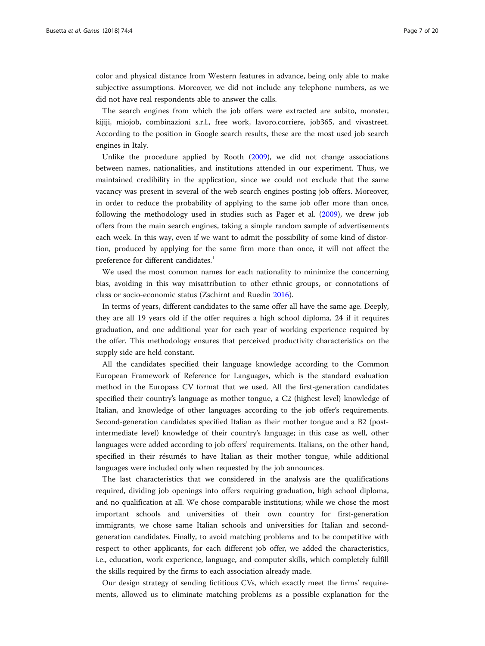color and physical distance from Western features in advance, being only able to make subjective assumptions. Moreover, we did not include any telephone numbers, as we did not have real respondents able to answer the calls.

The search engines from which the job offers were extracted are subito, monster, kijiji, miojob, combinazioni s.r.l., free work, lavoro.corriere, job365, and vivastreet. According to the position in Google search results, these are the most used job search engines in Italy.

Unlike the procedure applied by Rooth ([2009](#page-19-0)), we did not change associations between names, nationalities, and institutions attended in our experiment. Thus, we maintained credibility in the application, since we could not exclude that the same vacancy was present in several of the web search engines posting job offers. Moreover, in order to reduce the probability of applying to the same job offer more than once, following the methodology used in studies such as Pager et al. [\(2009\)](#page-19-0), we drew job offers from the main search engines, taking a simple random sample of advertisements each week. In this way, even if we want to admit the possibility of some kind of distortion, produced by applying for the same firm more than once, it will not affect the preference for different candidates.<sup>1</sup>

We used the most common names for each nationality to minimize the concerning bias, avoiding in this way misattribution to other ethnic groups, or connotations of class or socio-economic status (Zschirnt and Ruedin [2016](#page-19-0)).

In terms of years, different candidates to the same offer all have the same age. Deeply, they are all 19 years old if the offer requires a high school diploma, 24 if it requires graduation, and one additional year for each year of working experience required by the offer. This methodology ensures that perceived productivity characteristics on the supply side are held constant.

All the candidates specified their language knowledge according to the Common European Framework of Reference for Languages, which is the standard evaluation method in the Europass CV format that we used. All the first-generation candidates specified their country's language as mother tongue, a C2 (highest level) knowledge of Italian, and knowledge of other languages according to the job offer's requirements. Second-generation candidates specified Italian as their mother tongue and a B2 (postintermediate level) knowledge of their country's language; in this case as well, other languages were added according to job offers' requirements. Italians, on the other hand, specified in their résumés to have Italian as their mother tongue, while additional languages were included only when requested by the job announces.

The last characteristics that we considered in the analysis are the qualifications required, dividing job openings into offers requiring graduation, high school diploma, and no qualification at all. We chose comparable institutions; while we chose the most important schools and universities of their own country for first-generation immigrants, we chose same Italian schools and universities for Italian and secondgeneration candidates. Finally, to avoid matching problems and to be competitive with respect to other applicants, for each different job offer, we added the characteristics, i.e., education, work experience, language, and computer skills, which completely fulfill the skills required by the firms to each association already made.

Our design strategy of sending fictitious CVs, which exactly meet the firms' requirements, allowed us to eliminate matching problems as a possible explanation for the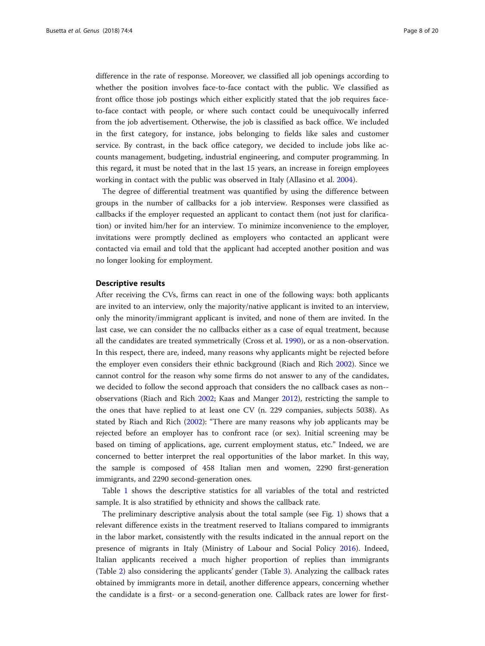<span id="page-7-0"></span>difference in the rate of response. Moreover, we classified all job openings according to whether the position involves face-to-face contact with the public. We classified as front office those job postings which either explicitly stated that the job requires faceto-face contact with people, or where such contact could be unequivocally inferred from the job advertisement. Otherwise, the job is classified as back office. We included in the first category, for instance, jobs belonging to fields like sales and customer service. By contrast, in the back office category, we decided to include jobs like accounts management, budgeting, industrial engineering, and computer programming. In this regard, it must be noted that in the last 15 years, an increase in foreign employees working in contact with the public was observed in Italy (Allasino et al. [2004](#page-17-0)).

The degree of differential treatment was quantified by using the difference between groups in the number of callbacks for a job interview. Responses were classified as callbacks if the employer requested an applicant to contact them (not just for clarification) or invited him/her for an interview. To minimize inconvenience to the employer, invitations were promptly declined as employers who contacted an applicant were contacted via email and told that the applicant had accepted another position and was no longer looking for employment.

## Descriptive results

After receiving the CVs, firms can react in one of the following ways: both applicants are invited to an interview, only the majority/native applicant is invited to an interview, only the minority/immigrant applicant is invited, and none of them are invited. In the last case, we can consider the no callbacks either as a case of equal treatment, because all the candidates are treated symmetrically (Cross et al. [1990\)](#page-18-0), or as a non-observation. In this respect, there are, indeed, many reasons why applicants might be rejected before the employer even considers their ethnic background (Riach and Rich [2002](#page-19-0)). Since we cannot control for the reason why some firms do not answer to any of the candidates, we decided to follow the second approach that considers the no callback cases as non- observations (Riach and Rich [2002;](#page-19-0) Kaas and Manger [2012\)](#page-18-0), restricting the sample to the ones that have replied to at least one CV (n. 229 companies, subjects 5038). As stated by Riach and Rich [\(2002\)](#page-19-0): "There are many reasons why job applicants may be rejected before an employer has to confront race (or sex). Initial screening may be based on timing of applications, age, current employment status, etc." Indeed, we are concerned to better interpret the real opportunities of the labor market. In this way, the sample is composed of 458 Italian men and women, 2290 first-generation immigrants, and 2290 second-generation ones.

Table [1](#page-8-0) shows the descriptive statistics for all variables of the total and restricted sample. It is also stratified by ethnicity and shows the callback rate.

The preliminary descriptive analysis about the total sample (see Fig. [1](#page-9-0)) shows that a relevant difference exists in the treatment reserved to Italians compared to immigrants in the labor market, consistently with the results indicated in the annual report on the presence of migrants in Italy (Ministry of Labour and Social Policy [2016](#page-19-0)). Indeed, Italian applicants received a much higher proportion of replies than immigrants (Table [2](#page-9-0)) also considering the applicants' gender (Table [3](#page-10-0)). Analyzing the callback rates obtained by immigrants more in detail, another difference appears, concerning whether the candidate is a first- or a second-generation one. Callback rates are lower for first-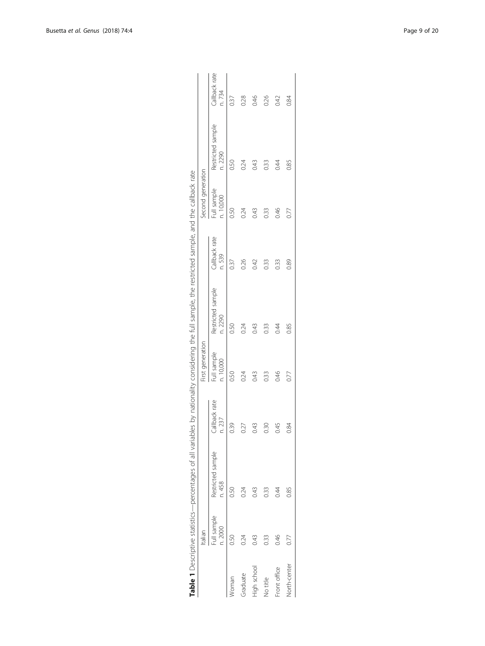<span id="page-8-0"></span>

|              | talian                 |                             |                         | First generation         |                              |                         | Second generation        |                              |                         |
|--------------|------------------------|-----------------------------|-------------------------|--------------------------|------------------------------|-------------------------|--------------------------|------------------------------|-------------------------|
|              | Full sample<br>n. 2000 | Restricted sample<br>n. 458 | Callback rate<br>n. 237 | Full sample<br>n. 10,000 | Restricted sample<br>n. 2290 | Callback rate<br>n. 539 | Full sample<br>n. 10,000 | Restricted sample<br>n. 2290 | Callback rate<br>n. 734 |
| Noman        | 0.50                   | 0.50                        | 0.39                    | 0.50                     | 0.50                         | 0.37                    | 0.50                     | 0.50                         | 0.37                    |
| Graduate     | 24                     | 0.24                        | 0.27                    | 0.24                     | 0.24                         | 026                     | 0.24                     | 24                           | 0.28                    |
| High school  | 0.43                   | 0.43                        | 0.43                    | 0.43                     | 0.43                         | 0.42                    | 0.43                     | 0.43                         | 0.46                    |
| No title     | 0.33                   | 033                         | 030                     | 0.33                     | 0.33                         | 033                     | 0.33                     | 0.33                         | 0.26                    |
| Front office | 0.46                   | 04<br>4                     | 0.45                    | 0.46                     | 0.44                         | 0.33                    | 0.46                     | 0.4                          | 0.42                    |
| North-center | 0.77                   | 0.85                        | 0.84                    | 0.77                     | 0.85                         | 0.89                    | 0.77                     | 0.85                         | 0.84                    |

| l<br>١<br>rat€                                 |
|------------------------------------------------|
| í                                              |
| ¢<br>֘֝֕                                       |
| I                                              |
| ī<br>$\mathbf$                                 |
| $\mathfrak{c}$<br>Ì<br>۱                       |
| i<br>ׇׇ֚֕֕֡                                    |
| l<br>j                                         |
| ï<br>j<br>$\ddot{\ddot{\phantom{}}\,}$<br>ׇ֦֘֡ |
| ١                                              |
| l                                              |
| ï<br>i                                         |
| ׇׇ֚֚֬֡<br>Ş<br>d<br>1<br>j                     |
| Ę                                              |
| ï<br>$\overline{\phantom{a}}$                  |
| Ì                                              |
| j<br>i<br>i                                    |
| ׇ֦֖֚֘֝֬<br>i<br>ł                              |
| Ö<br>j<br>J<br>j                               |
| j<br>ï                                         |
| ļ<br>Ï<br>J<br>ī                               |
| ç                                              |
| j                                              |
| ź<br>Ï<br>S                                    |
| ׇ֚֓֡<br>Ï<br>ţ                                 |
| Ï<br>5<br>J                                    |
| l<br>j<br>j                                    |
| l<br>J                                         |
| i+<br>2<br>j<br>i                              |
| ā<br>١                                         |
| i<br>ì                                         |
| Ï                                              |
|                                                |
| I<br>i                                         |
| ֠<br>ï<br>ו<br>נ<br>$\zeta$                    |
| l<br>j                                         |
| Ò<br>۱<br>:<br>É                               |
|                                                |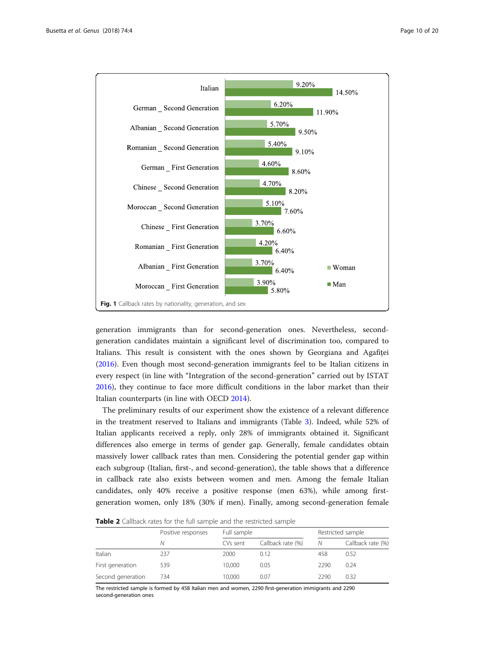<span id="page-9-0"></span>

generation immigrants than for second-generation ones. Nevertheless, secondgeneration candidates maintain a significant level of discrimination too, compared to Italians. This result is consistent with the ones shown by Georgiana and Agafiţei ([2016](#page-18-0)). Even though most second-generation immigrants feel to be Italian citizens in every respect (in line with "Integration of the second-generation" carried out by ISTAT [2016](#page-18-0)), they continue to face more difficult conditions in the labor market than their Italian counterparts (in line with OECD [2014](#page-19-0)).

The preliminary results of our experiment show the existence of a relevant difference in the treatment reserved to Italians and immigrants (Table [3\)](#page-10-0). Indeed, while 52% of Italian applicants received a reply, only 28% of immigrants obtained it. Significant differences also emerge in terms of gender gap. Generally, female candidates obtain massively lower callback rates than men. Considering the potential gender gap within each subgroup (Italian, first-, and second-generation), the table shows that a difference in callback rate also exists between women and men. Among the female Italian candidates, only 40% receive a positive response (men 63%), while among firstgeneration women, only 18% (30% if men). Finally, among second-generation female

Table 2 Callback rates for the full sample and the restricted sample

|                   | Positive responses | Full sample |                   |      | Restricted sample |
|-------------------|--------------------|-------------|-------------------|------|-------------------|
|                   | Ν                  | CVs sent    | Callback rate (%) | Ν    | Callback rate (%) |
| Italian           | 237                | 2000        | 0.12              | 458  | 0.52              |
| First generation  | 539                | 10,000      | 0.05              | 2290 | 0.24              |
| Second generation | 734                | 10,000      | 0.07              | 2290 | 0.32              |

The restricted sample is formed by 458 Italian men and women, 2290 first-generation immigrants and 2290 second-generation ones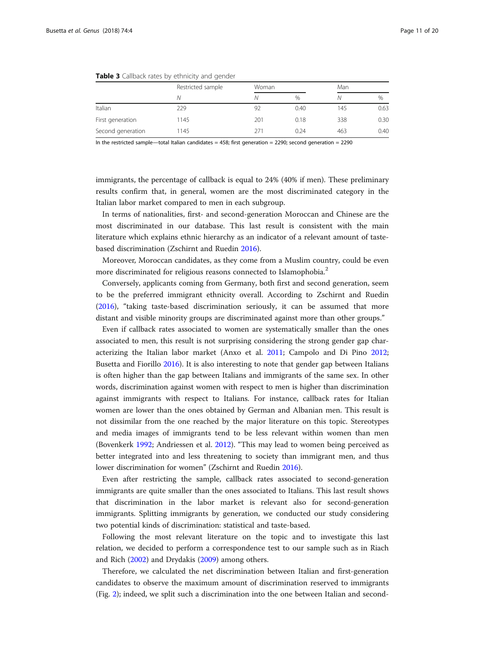|                   | Restricted sample | Woman |      | Man |      |
|-------------------|-------------------|-------|------|-----|------|
|                   | Ν                 |       | $\%$ | Ν   | $\%$ |
| Italian           | 229               | 92    | 0.40 | 145 | 0.63 |
| First generation  | 1145              | 201   | 0.18 | 338 | 0.30 |
| Second generation | 1145              | 271   | 0.24 | 463 | 0.40 |

<span id="page-10-0"></span>Table 3 Callback rates by ethnicity and gender

In the restricted sample—total Italian candidates =  $458$ ; first generation =  $2290$ ; second generation =  $2290$ 

immigrants, the percentage of callback is equal to 24% (40% if men). These preliminary results confirm that, in general, women are the most discriminated category in the Italian labor market compared to men in each subgroup.

In terms of nationalities, first- and second-generation Moroccan and Chinese are the most discriminated in our database. This last result is consistent with the main literature which explains ethnic hierarchy as an indicator of a relevant amount of tastebased discrimination (Zschirnt and Ruedin [2016\)](#page-19-0).

Moreover, Moroccan candidates, as they come from a Muslim country, could be even more discriminated for religious reasons connected to Islamophobia.<sup>2</sup>

Conversely, applicants coming from Germany, both first and second generation, seem to be the preferred immigrant ethnicity overall. According to Zschirnt and Ruedin ([2016](#page-19-0)), "taking taste-based discrimination seriously, it can be assumed that more distant and visible minority groups are discriminated against more than other groups."

Even if callback rates associated to women are systematically smaller than the ones associated to men, this result is not surprising considering the strong gender gap characterizing the Italian labor market (Anxo et al. [2011;](#page-18-0) Campolo and Di Pino [2012](#page-18-0); Busetta and Fiorillo [2016](#page-18-0)). It is also interesting to note that gender gap between Italians is often higher than the gap between Italians and immigrants of the same sex. In other words, discrimination against women with respect to men is higher than discrimination against immigrants with respect to Italians. For instance, callback rates for Italian women are lower than the ones obtained by German and Albanian men. This result is not dissimilar from the one reached by the major literature on this topic. Stereotypes and media images of immigrants tend to be less relevant within women than men (Bovenkerk [1992;](#page-18-0) Andriessen et al. [2012\)](#page-18-0). "This may lead to women being perceived as better integrated into and less threatening to society than immigrant men, and thus lower discrimination for women" (Zschirnt and Ruedin [2016](#page-19-0)).

Even after restricting the sample, callback rates associated to second-generation immigrants are quite smaller than the ones associated to Italians. This last result shows that discrimination in the labor market is relevant also for second-generation immigrants. Splitting immigrants by generation, we conducted our study considering two potential kinds of discrimination: statistical and taste-based.

Following the most relevant literature on the topic and to investigate this last relation, we decided to perform a correspondence test to our sample such as in Riach and Rich [\(2002\)](#page-19-0) and Drydakis ([2009\)](#page-18-0) among others.

Therefore, we calculated the net discrimination between Italian and first-generation candidates to observe the maximum amount of discrimination reserved to immigrants (Fig. [2](#page-11-0)); indeed, we split such a discrimination into the one between Italian and second-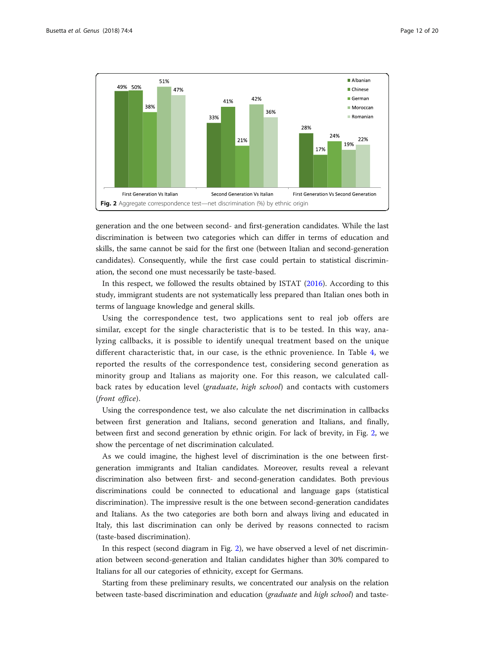<span id="page-11-0"></span>

generation and the one between second- and first-generation candidates. While the last discrimination is between two categories which can differ in terms of education and skills, the same cannot be said for the first one (between Italian and second-generation candidates). Consequently, while the first case could pertain to statistical discrimination, the second one must necessarily be taste-based.

In this respect, we followed the results obtained by ISTAT ([2016](#page-18-0)). According to this study, immigrant students are not systematically less prepared than Italian ones both in terms of language knowledge and general skills.

Using the correspondence test, two applications sent to real job offers are similar, except for the single characteristic that is to be tested. In this way, analyzing callbacks, it is possible to identify unequal treatment based on the unique different characteristic that, in our case, is the ethnic provenience. In Table [4,](#page-12-0) we reported the results of the correspondence test, considering second generation as minority group and Italians as majority one. For this reason, we calculated callback rates by education level (graduate, high school) and contacts with customers (front office).

Using the correspondence test, we also calculate the net discrimination in callbacks between first generation and Italians, second generation and Italians, and finally, between first and second generation by ethnic origin. For lack of brevity, in Fig. 2, we show the percentage of net discrimination calculated.

As we could imagine, the highest level of discrimination is the one between firstgeneration immigrants and Italian candidates. Moreover, results reveal a relevant discrimination also between first- and second-generation candidates. Both previous discriminations could be connected to educational and language gaps (statistical discrimination). The impressive result is the one between second-generation candidates and Italians. As the two categories are both born and always living and educated in Italy, this last discrimination can only be derived by reasons connected to racism (taste-based discrimination).

In this respect (second diagram in Fig. 2), we have observed a level of net discrimination between second-generation and Italian candidates higher than 30% compared to Italians for all our categories of ethnicity, except for Germans.

Starting from these preliminary results, we concentrated our analysis on the relation between taste-based discrimination and education (graduate and high school) and taste-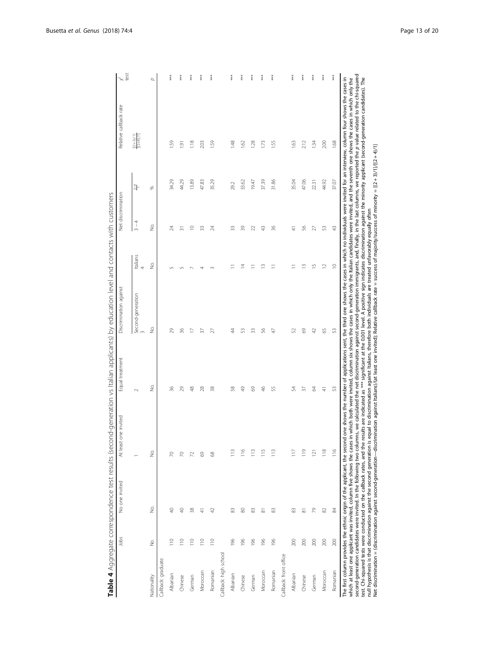|                        | Jobs           | No one invited                                                                                                                                        | At least one invited                                                                                                                                                                                                                                                                                                                                                                                                                                                                                                                                                                                                                                                                                                                                                                                                                                                                   | Equal treatment | Discrimination against                                                                                                                       |                            | Net discrimination |               | Relative callback rate                                                                                                                                       | test     |
|------------------------|----------------|-------------------------------------------------------------------------------------------------------------------------------------------------------|----------------------------------------------------------------------------------------------------------------------------------------------------------------------------------------------------------------------------------------------------------------------------------------------------------------------------------------------------------------------------------------------------------------------------------------------------------------------------------------------------------------------------------------------------------------------------------------------------------------------------------------------------------------------------------------------------------------------------------------------------------------------------------------------------------------------------------------------------------------------------------------|-----------------|----------------------------------------------------------------------------------------------------------------------------------------------|----------------------------|--------------------|---------------|--------------------------------------------------------------------------------------------------------------------------------------------------------------|----------|
|                        |                |                                                                                                                                                       |                                                                                                                                                                                                                                                                                                                                                                                                                                                                                                                                                                                                                                                                                                                                                                                                                                                                                        | $\sim$          | Second-generation                                                                                                                            | Italians<br>$\overline{a}$ | $3 - 4$            | $\frac{3}{4}$ | $\frac{[(2+3)/1]}{[(2+4)/1]}$                                                                                                                                |          |
| Nationality            | g              | ğ,                                                                                                                                                    | 2.                                                                                                                                                                                                                                                                                                                                                                                                                                                                                                                                                                                                                                                                                                                                                                                                                                                                                     | è<br>2          | 2.                                                                                                                                           | ğ,                         | è,                 | S,            |                                                                                                                                                              | $\sigma$ |
| Callback: graduate     |                |                                                                                                                                                       |                                                                                                                                                                                                                                                                                                                                                                                                                                                                                                                                                                                                                                                                                                                                                                                                                                                                                        |                 |                                                                                                                                              |                            |                    |               |                                                                                                                                                              |          |
| Albanian               | $\frac{1}{10}$ | ₽                                                                                                                                                     | R                                                                                                                                                                                                                                                                                                                                                                                                                                                                                                                                                                                                                                                                                                                                                                                                                                                                                      | 36              | 29                                                                                                                                           |                            | 24                 | 34.29         | SS.                                                                                                                                                          |          |
| Chinese                | $\frac{1}{10}$ | ¥                                                                                                                                                     | R                                                                                                                                                                                                                                                                                                                                                                                                                                                                                                                                                                                                                                                                                                                                                                                                                                                                                      | 29              | 26                                                                                                                                           |                            | $\overline{5}$     | 44.29         | $\overline{9}$                                                                                                                                               | $*$      |
| German                 | $\frac{1}{10}$ | 38                                                                                                                                                    | R                                                                                                                                                                                                                                                                                                                                                                                                                                                                                                                                                                                                                                                                                                                                                                                                                                                                                      | 48              | Ρ                                                                                                                                            |                            | $\supseteq$        | 13.89         | 118                                                                                                                                                          | 1        |
| Moroccan               | $\frac{1}{2}$  | ₹                                                                                                                                                     | 3                                                                                                                                                                                                                                                                                                                                                                                                                                                                                                                                                                                                                                                                                                                                                                                                                                                                                      | 28              | 57                                                                                                                                           |                            | 33                 | 47.83         | 2.03                                                                                                                                                         |          |
| Romanian               | 110            | A                                                                                                                                                     | 8                                                                                                                                                                                                                                                                                                                                                                                                                                                                                                                                                                                                                                                                                                                                                                                                                                                                                      | 38              | 27                                                                                                                                           |                            | 24                 | 35.29         | 1.59                                                                                                                                                         |          |
| Callback: high school  |                |                                                                                                                                                       |                                                                                                                                                                                                                                                                                                                                                                                                                                                                                                                                                                                                                                                                                                                                                                                                                                                                                        |                 |                                                                                                                                              |                            |                    |               |                                                                                                                                                              |          |
| Albanian               | 196            | 83                                                                                                                                                    | $\frac{3}{2}$                                                                                                                                                                                                                                                                                                                                                                                                                                                                                                                                                                                                                                                                                                                                                                                                                                                                          | 58              | 4                                                                                                                                            |                            | 33                 | 29.2          | 1.48                                                                                                                                                         |          |
| Chinese                | 196            | 8                                                                                                                                                     | 116                                                                                                                                                                                                                                                                                                                                                                                                                                                                                                                                                                                                                                                                                                                                                                                                                                                                                    | 49              | ಙ                                                                                                                                            | $\bar{4}$                  | 39                 | 33.62         | 1.62                                                                                                                                                         |          |
| German                 | 196            | 83                                                                                                                                                    | $\frac{3}{2}$                                                                                                                                                                                                                                                                                                                                                                                                                                                                                                                                                                                                                                                                                                                                                                                                                                                                          | 69              | 33                                                                                                                                           |                            | 22                 | 19.47         | 1.28                                                                                                                                                         |          |
| Moroccan               | 196            | $\overline{\infty}$                                                                                                                                   | $\frac{5}{11}$                                                                                                                                                                                                                                                                                                                                                                                                                                                                                                                                                                                                                                                                                                                                                                                                                                                                         | 46              | 56                                                                                                                                           | $\sim$                     | 43                 | 37.39         | 1.73                                                                                                                                                         |          |
| Romanian               | 196            | 83                                                                                                                                                    | $\frac{3}{2}$                                                                                                                                                                                                                                                                                                                                                                                                                                                                                                                                                                                                                                                                                                                                                                                                                                                                          | 55              | Ĥ                                                                                                                                            |                            | 26                 | 31.86         | 1.55                                                                                                                                                         |          |
| Callback: front office |                |                                                                                                                                                       |                                                                                                                                                                                                                                                                                                                                                                                                                                                                                                                                                                                                                                                                                                                                                                                                                                                                                        |                 |                                                                                                                                              |                            |                    |               |                                                                                                                                                              |          |
| Albanian               | 200            | 83                                                                                                                                                    | $\overline{117}$                                                                                                                                                                                                                                                                                                                                                                                                                                                                                                                                                                                                                                                                                                                                                                                                                                                                       | 54              | 52                                                                                                                                           |                            | ₹                  | 35.04         | 1.63                                                                                                                                                         | 米米米      |
| Chinese                | 200            | $\overline{\infty}$                                                                                                                                   | 119                                                                                                                                                                                                                                                                                                                                                                                                                                                                                                                                                                                                                                                                                                                                                                                                                                                                                    | $\overline{37}$ | 8                                                                                                                                            | $\sim$                     | S6                 | 47.06         | 2.12                                                                                                                                                         |          |
| German                 | 200            | 56                                                                                                                                                    | $\overline{2}1$                                                                                                                                                                                                                                                                                                                                                                                                                                                                                                                                                                                                                                                                                                                                                                                                                                                                        | 64              | 42                                                                                                                                           | $\overline{5}$             | 27                 | 22.31         | 1.34                                                                                                                                                         |          |
| Moroccan               | 200            | 82                                                                                                                                                    | $\frac{8}{118}$                                                                                                                                                                                                                                                                                                                                                                                                                                                                                                                                                                                                                                                                                                                                                                                                                                                                        | $\frac{4}{7}$   | 59                                                                                                                                           | $\supseteq$                | SS                 | 44.92         | 2.00                                                                                                                                                         | ***      |
| Romanian               | 200            | \$                                                                                                                                                    | 116                                                                                                                                                                                                                                                                                                                                                                                                                                                                                                                                                                                                                                                                                                                                                                                                                                                                                    | 53              | SS                                                                                                                                           | $\supseteq$                | $\frac{1}{2}$      | 37.07         | 1.68                                                                                                                                                         | ∗∗       |
|                        |                | which at least one applicant was invited, column five shows the cases in<br>Net discrimination $=$ (discrimination against second-generation—discrimi | second-generation candidates were invited. In the following two columns, we calculated the net discrimination against second-generation immigrants, and, finally, in the last columns, we reported the p value related to the<br>The first column provides the ethnic origin of the applicant, the second one shows the enplications sent, the third one shows the cases in which no individuals were invited for an interview, column four shows the cases in<br>test. Chi-squared tests were conducted on the calback rates, and the results are results are indicated as *** significant at the 0.001 level. A positive sign indicates discrimination against the minority applicant (second-<br>null hypothesis is that discrimination against the second generation is equal to discrimination against Italians, therefore both individuals are treated unfavorably equally often |                 | ination against Italians)/(at least one invited); Relative callback rate = success of majority/success of minority = [(2 + 3)/1]/((2 + 4)/1] |                            |                    |               | which both were invited, column six shows the cases in which only the Italian candidates were invited, and the seventh one shows the cases in which only the |          |

Table 4 Aggregate correspondence test results (second-generation vs Italian applicants) by education level and contacts with customers Table 4 Aggregate correspondence test results (second-generation vs Italian applicants) by education level and contacts with customers

<span id="page-12-0"></span>Busetta et al. Genus (2018) 74:4 **Page 13 of 20** Page 13 of 20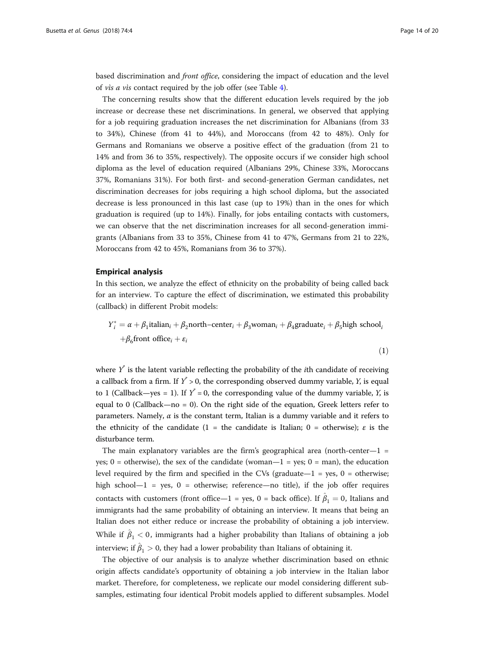<span id="page-13-0"></span>based discrimination and front office, considering the impact of education and the level of vìs a vìs contact required by the job offer (see Table [4](#page-12-0)).

The concerning results show that the different education levels required by the job increase or decrease these net discriminations. In general, we observed that applying for a job requiring graduation increases the net discrimination for Albanians (from 33 to 34%), Chinese (from 41 to 44%), and Moroccans (from 42 to 48%). Only for Germans and Romanians we observe a positive effect of the graduation (from 21 to 14% and from 36 to 35%, respectively). The opposite occurs if we consider high school diploma as the level of education required (Albanians 29%, Chinese 33%, Moroccans 37%, Romanians 31%). For both first- and second-generation German candidates, net discrimination decreases for jobs requiring a high school diploma, but the associated decrease is less pronounced in this last case (up to 19%) than in the ones for which graduation is required (up to 14%). Finally, for jobs entailing contacts with customers, we can observe that the net discrimination increases for all second-generation immigrants (Albanians from 33 to 35%, Chinese from 41 to 47%, Germans from 21 to 22%, Moroccans from 42 to 45%, Romanians from 36 to 37%).

## Empirical analysis

In this section, we analyze the effect of ethnicity on the probability of being called back for an interview. To capture the effect of discrimination, we estimated this probability (callback) in different Probit models:

$$
Y_i^* = \alpha + \beta_1 \text{italian}_i + \beta_2 \text{north-center}_i + \beta_3 \text{woman}_i + \beta_4 \text{graduate}_i + \beta_5 \text{high school}_i
$$
  
+
$$
\beta_6 \text{front office}_i + \varepsilon_i
$$
 (1)

where  $Y^*$  is the latent variable reflecting the probability of the *i*th candidate of receiving a callback from a firm. If  $Y > 0$ , the corresponding observed dummy variable, Y, is equal to 1 (Callback—yes = 1). If  $Y^* = 0$ , the corresponding value of the dummy variable, Y, is equal to 0 (Callback—no = 0). On the right side of the equation, Greek letters refer to parameters. Namely,  $\alpha$  is the constant term, Italian is a dummy variable and it refers to the ethnicity of the candidate (1 = the candidate is Italian; 0 = otherwise);  $\varepsilon$  is the disturbance term.

The main explanatory variables are the firm's geographical area (north-center- $-1$  = yes;  $0 =$  otherwise), the sex of the candidate (woman—1 = yes;  $0 =$  man), the education level required by the firm and specified in the CVs (graduate— $1 = yes$ , 0 = otherwise; high school—1 = yes, 0 = otherwise; reference—no title), if the job offer requires contacts with customers (front office—1 = yes, 0 = back office). If  $\hat{\beta}_1 = 0$ , Italians and immigrants had the same probability of obtaining an interview. It means that being an Italian does not either reduce or increase the probability of obtaining a job interview. While if  $\hat{\beta}_1 < 0$ , immigrants had a higher probability than Italians of obtaining a job interview; if  $\hat{\beta}_1 > 0$ , they had a lower probability than Italians of obtaining it.

The objective of our analysis is to analyze whether discrimination based on ethnic origin affects candidate's opportunity of obtaining a job interview in the Italian labor market. Therefore, for completeness, we replicate our model considering different subsamples, estimating four identical Probit models applied to different subsamples. Model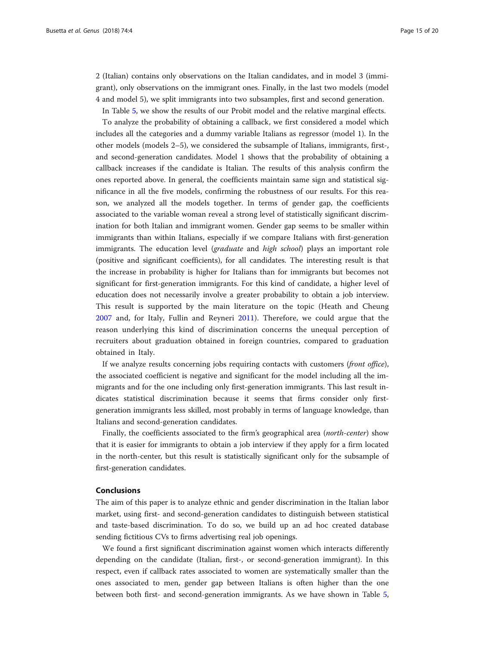<span id="page-14-0"></span>2 (Italian) contains only observations on the Italian candidates, and in model 3 (immigrant), only observations on the immigrant ones. Finally, in the last two models (model 4 and model 5), we split immigrants into two subsamples, first and second generation.

In Table [5](#page-15-0), we show the results of our Probit model and the relative marginal effects.

To analyze the probability of obtaining a callback, we first considered a model which includes all the categories and a dummy variable Italians as regressor (model 1). In the other models (models 2–5), we considered the subsample of Italians, immigrants, first-, and second-generation candidates. Model 1 shows that the probability of obtaining a callback increases if the candidate is Italian. The results of this analysis confirm the ones reported above. In general, the coefficients maintain same sign and statistical significance in all the five models, confirming the robustness of our results. For this reason, we analyzed all the models together. In terms of gender gap, the coefficients associated to the variable woman reveal a strong level of statistically significant discrimination for both Italian and immigrant women. Gender gap seems to be smaller within immigrants than within Italians, especially if we compare Italians with first-generation immigrants. The education level (*graduate* and *high school*) plays an important role (positive and significant coefficients), for all candidates. The interesting result is that the increase in probability is higher for Italians than for immigrants but becomes not significant for first-generation immigrants. For this kind of candidate, a higher level of education does not necessarily involve a greater probability to obtain a job interview. This result is supported by the main literature on the topic (Heath and Cheung [2007](#page-18-0) and, for Italy, Fullin and Reyneri [2011\)](#page-18-0). Therefore, we could argue that the reason underlying this kind of discrimination concerns the unequal perception of recruiters about graduation obtained in foreign countries, compared to graduation obtained in Italy.

If we analyze results concerning jobs requiring contacts with customers (front office), the associated coefficient is negative and significant for the model including all the immigrants and for the one including only first-generation immigrants. This last result indicates statistical discrimination because it seems that firms consider only firstgeneration immigrants less skilled, most probably in terms of language knowledge, than Italians and second-generation candidates.

Finally, the coefficients associated to the firm's geographical area (*north-center*) show that it is easier for immigrants to obtain a job interview if they apply for a firm located in the north-center, but this result is statistically significant only for the subsample of first-generation candidates.

## Conclusions

The aim of this paper is to analyze ethnic and gender discrimination in the Italian labor market, using first- and second-generation candidates to distinguish between statistical and taste-based discrimination. To do so, we build up an ad hoc created database sending fictitious CVs to firms advertising real job openings.

We found a first significant discrimination against women which interacts differently depending on the candidate (Italian, first-, or second-generation immigrant). In this respect, even if callback rates associated to women are systematically smaller than the ones associated to men, gender gap between Italians is often higher than the one between both first- and second-generation immigrants. As we have shown in Table [5](#page-15-0),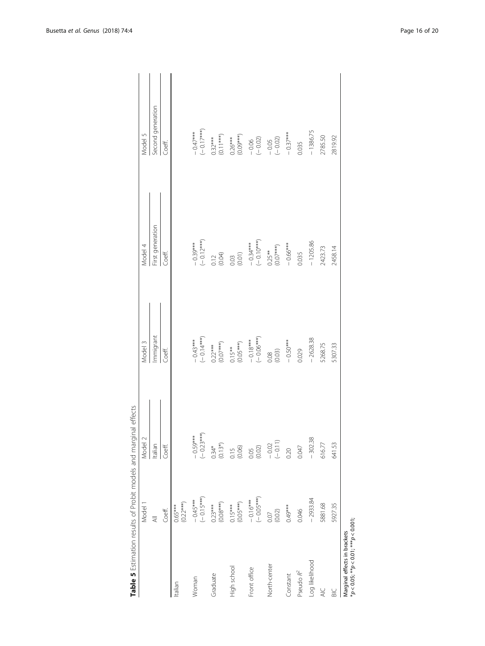<span id="page-15-0"></span>

| Table 5 Estimation results of Probit models and marginal effects           |                            |                           |                            |                            |                            |
|----------------------------------------------------------------------------|----------------------------|---------------------------|----------------------------|----------------------------|----------------------------|
|                                                                            | Model 1                    | Model 2                   | Model 3                    | Model 4                    | Model 5                    |
|                                                                            | $\overline{4}$             | Italian                   | Immigrant                  | First generation           | Second generation          |
|                                                                            | Coeff.                     | Coeff.                    | Coeff.                     | Coeff.                     | Coeff.                     |
| Italian                                                                    | $(0.22***)$<br>$0.65***$   |                           |                            |                            |                            |
| Woman                                                                      | $(-0.15***)$<br>$-0.45***$ | $-0.59***$<br>$(-0.23***$ | $-0.43***$<br>$(-0.14***)$ | $-0.39***$<br>$(-0.12***)$ | $-0.47***$<br>$(-0.17***)$ |
| Graduate                                                                   | $(0.08***)$<br>$0.23***$   | $(0.13*)$<br>$0.34*$      | $0.22***$<br>(0.07***)     | $0.12$<br>$(0.04)$         | $0.32***$<br>(0.11***)     |
| High school                                                                | $(0.05***)$<br>$0.15***$   | $0.15$<br>(0.06)          | $0.15***$<br>(0.05***)     | $\frac{0.03}{(0.01)}$      | $0.26***$<br>(0.09***)     |
| Front office                                                               | $(-0.05***)$<br>$-0.16***$ | $0.05$<br>$(0.02)$        | $-0.18***$<br>$(-0.06***)$ | $-0.34***$<br>$(-0.10***)$ | $-0.06$<br>( $-0.02$ )     |
| North-center                                                               | (0.02)<br>0.07             | $-0.02$<br>$(-0.11)$      | $0.08$<br>$(0.03)$         | $0.25***$<br>(0.07***)     | $-0.05$<br>(-0.02)         |
| Constant                                                                   | $0.49***$                  | 0.20                      | $-0.50***$                 | $-0.66***$                 | $-0.37***$                 |
| Pseudo $R^2$                                                               | 0.046                      | 0.047                     | 0.029                      | 0.035                      | 0.035                      |
| Log likelihood                                                             | $-2933.84$                 | $-302.38$                 | $-2628.38$                 | $-1205.86$                 | $-1386.75$                 |
| 40                                                                         | 5881.68                    | 616.77                    | 5268.75                    | 2423.73                    | 2785.50                    |
| $rac{C}{B}$                                                                | 5927.35                    | 641.53                    | 5307.33                    | 2458.14                    | 2819.92                    |
| $*p < 0.05;$ $**p < 0.01;$ $***p < 0.001;$<br>Marginal effects in brackets |                            |                           |                            |                            |                            |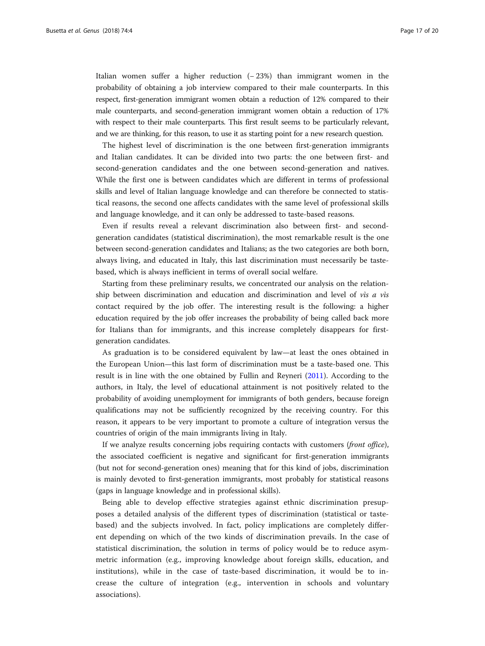Italian women suffer a higher reduction (− 23%) than immigrant women in the probability of obtaining a job interview compared to their male counterparts. In this respect, first-generation immigrant women obtain a reduction of 12% compared to their male counterparts, and second-generation immigrant women obtain a reduction of 17% with respect to their male counterparts. This first result seems to be particularly relevant, and we are thinking, for this reason, to use it as starting point for a new research question.

The highest level of discrimination is the one between first-generation immigrants and Italian candidates. It can be divided into two parts: the one between first- and second-generation candidates and the one between second-generation and natives. While the first one is between candidates which are different in terms of professional skills and level of Italian language knowledge and can therefore be connected to statistical reasons, the second one affects candidates with the same level of professional skills and language knowledge, and it can only be addressed to taste-based reasons.

Even if results reveal a relevant discrimination also between first- and secondgeneration candidates (statistical discrimination), the most remarkable result is the one between second-generation candidates and Italians; as the two categories are both born, always living, and educated in Italy, this last discrimination must necessarily be tastebased, which is always inefficient in terms of overall social welfare.

Starting from these preliminary results, we concentrated our analysis on the relationship between discrimination and education and discrimination and level of vis a vis contact required by the job offer. The interesting result is the following: a higher education required by the job offer increases the probability of being called back more for Italians than for immigrants, and this increase completely disappears for firstgeneration candidates.

As graduation is to be considered equivalent by law—at least the ones obtained in the European Union—this last form of discrimination must be a taste-based one. This result is in line with the one obtained by Fullin and Reyneri ([2011\)](#page-18-0). According to the authors, in Italy, the level of educational attainment is not positively related to the probability of avoiding unemployment for immigrants of both genders, because foreign qualifications may not be sufficiently recognized by the receiving country. For this reason, it appears to be very important to promote a culture of integration versus the countries of origin of the main immigrants living in Italy.

If we analyze results concerning jobs requiring contacts with customers (front office), the associated coefficient is negative and significant for first-generation immigrants (but not for second-generation ones) meaning that for this kind of jobs, discrimination is mainly devoted to first-generation immigrants, most probably for statistical reasons (gaps in language knowledge and in professional skills).

Being able to develop effective strategies against ethnic discrimination presupposes a detailed analysis of the different types of discrimination (statistical or tastebased) and the subjects involved. In fact, policy implications are completely different depending on which of the two kinds of discrimination prevails. In the case of statistical discrimination, the solution in terms of policy would be to reduce asymmetric information (e.g., improving knowledge about foreign skills, education, and institutions), while in the case of taste-based discrimination, it would be to increase the culture of integration (e.g., intervention in schools and voluntary associations).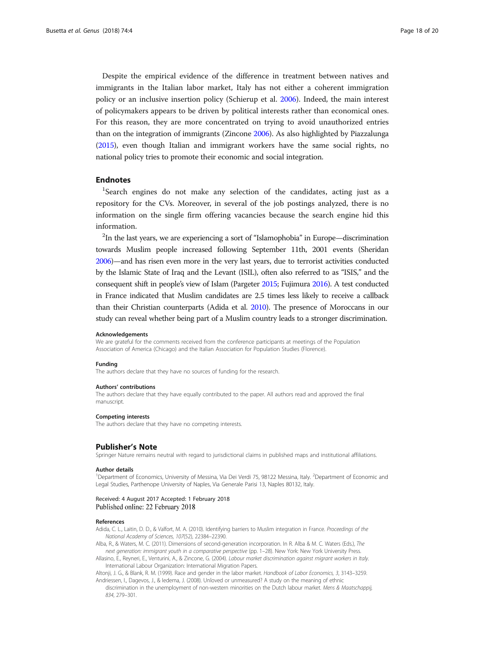<span id="page-17-0"></span>Despite the empirical evidence of the difference in treatment between natives and immigrants in the Italian labor market, Italy has not either a coherent immigration policy or an inclusive insertion policy (Schierup et al. [2006\)](#page-19-0). Indeed, the main interest of policymakers appears to be driven by political interests rather than economical ones. For this reason, they are more concentrated on trying to avoid unauthorized entries than on the integration of immigrants (Zincone [2006\)](#page-19-0). As also highlighted by Piazzalunga ([2015\)](#page-19-0), even though Italian and immigrant workers have the same social rights, no national policy tries to promote their economic and social integration.

## Endnotes

<sup>1</sup>Search engines do not make any selection of the candidates, acting just as a repository for the CVs. Moreover, in several of the job postings analyzed, there is no information on the single firm offering vacancies because the search engine hid this information.

 $2$ In the last years, we are experiencing a sort of "Islamophobia" in Europe—discrimination towards Muslim people increased following September 11th, 2001 events (Sheridan [2006\)](#page-19-0)—and has risen even more in the very last years, due to terrorist activities conducted by the Islamic State of Iraq and the Levant (ISIL), often also referred to as "ISIS," and the consequent shift in people's view of Islam (Pargeter [2015;](#page-19-0) Fujimura [2016\)](#page-18-0). A test conducted in France indicated that Muslim candidates are 2.5 times less likely to receive a callback than their Christian counterparts (Adida et al. 2010). The presence of Moroccans in our study can reveal whether being part of a Muslim country leads to a stronger discrimination.

#### Acknowledgements

We are grateful for the comments received from the conference participants at meetings of the Population Association of America (Chicago) and the Italian Association for Population Studies (Florence).

#### Funding

The authors declare that they have no sources of funding for the research.

#### Authors' contributions

The authors declare that they have equally contributed to the paper. All authors read and approved the final manuscript.

#### Competing interests

The authors declare that they have no competing interests.

#### Publisher's Note

Springer Nature remains neutral with regard to jurisdictional claims in published maps and institutional affiliations.

#### Author details

<sup>1</sup>Department of Economics, University of Messina, Via Dei Verdi 75, 98122 Messina, Italy. <sup>2</sup>Department of Economic and Legal Studies, Parthenope University of Naples, Via Generale Parisi 13, Naples 80132, Italy.

#### Received: 4 August 2017 Accepted: 1 February 2018 Published online: 22 February 2018

#### References

Adida, C. L., Laitin, D. D., & Valfort, M. A. (2010). Identifying barriers to Muslim integration in France. Proceedings of the National Academy of Sciences, 107(52), 22384–22390.

Alba, R., & Waters, M. C. (2011). Dimensions of second-generation incorporation. In R. Alba & M. C. Waters (Eds.), The next generation: immigrant youth in a comparative perspective (pp. 1–28). New York: New York University Press.

Allasino, E., Reyneri, E., Venturini, A., & Zincone, G. (2004). Labour market discrimination against migrant workers in Italy. International Labour Organization: International Migration Papers.

Altonji, J. G., & Blank, R. M. (1999). Race and gender in the labor market. Handbook of Labor Economics, 3, 3143–3259. Andriessen, I., Dagevos, J., & Iedema, J. (2008). Unloved or unmeasured? A study on the meaning of ethnic

discrimination in the unemployment of non-western minorities on the Dutch labour market. Mens & Maatschappij, 834, 279–301.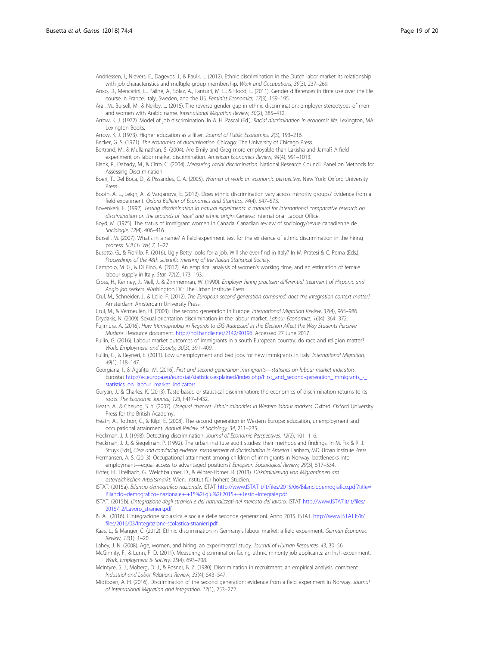<span id="page-18-0"></span>Andriessen, I., Nievers, E., Dagevos, J., & Faulk, L. (2012). Ethnic discrimination in the Dutch labor market its relationship with job characteristics and multiple group membership. Work and Occupations, 39(3), 237-269.

Anxo, D., Mencarini, L., Pailhé, A., Solaz, A., Tanturri, M. L., & Flood, L. (2011). Gender differences in time use over the life course in France, Italy, Sweden, and the US. Feminist Economics, 17(3), 159–195.

Arai, M., Bursell, M., & Nekby, L. (2016). The reverse gender gap in ethnic discrimination: employer stereotypes of men and women with Arabic name. International Migration Review, 50(2), 385–412.

Arrow, K. J. (1972). Model of job discrimination. In A. H. Pascal (Ed.), Racial discrimination in economic life. Lexington, MA: Lexington Books.

Arrow, K. J. (1973). Higher education as a filter. Journal of Public Economics, 2(3), 193–216.

Becker, G. S. (1971). The economics of discrimination. Chicago: The University of Chicago Press.

Bertrand, M., & Mullainathan, S. (2004). Are Emily and Greg more employable than Lakisha and Jamal? A field experiment on labor market discrimination. American Economics Review, 94(4), 991–1013.

Blank, R., Dabady, M., & Citro, C. (2004). Measuring racial discrimination. National Research Council: Panel on Methods for Assessing Discrimination.

Boeri, T., Del Boca, D., & Pissarides, C. A. (2005). Women at work: an economic perspective. New York: Oxford University Press.

Booth, A. L., Leigh, A., & Varganova, E. (2012). Does ethnic discrimination vary across minority groups? Evidence from a field experiment. Oxford Bulletin of Economics and Statistics, 74(4), 547-573.

Bovenkerk, F. (1992). Testing discrimination in natural experiments: a manual for international comparative research on discrimination on the grounds of "race" and ethnic origin. Geneva: International Labour Office.

Boyd, M. (1975). The status of immigrant women in Canada. Canadian review of sociology/revue canadienne de. Sociologie, 12(4), 406–416.

Bursell, M. (2007). What's in a name? A field experiment test for the existence of ethnic discrimination in the hiring process. SULCIS WP, 7, 1–27.

Busetta, G., & Fiorillo, F. (2016). Ugly Betty looks for a job. Will she ever find in Italy? In M. Pratesi & C. Perna (Eds.), Proceedings of the 48th scientific meeting of the Italian Statistical Society.

Campolo, M. G., & Di Pino, A. (2012). An empirical analysis of women's working time, and an estimation of female labour supply in Italy. Stat, 72(2), 173–193.

Cross, H., Kenney, J., Mell, J., & Zimmerman, W. (1990). Employer hiring practises: differential treatment of Hispanic and Anglo job seekers. Washington DC: The Urban Institute Press.

Crul, M., Schneider, J., & Lelie, F. (2012). The European second generation compared: does the integration context matter? Amsterdam: Amsterdam University Press.

Crul, M., & Vermeulen, H. (2003). The second generation in Europe. International Migration Review, 37(4), 965–986.

Drydakis, N. (2009). Sexual orientation discrimination in the labour market. Labour Economics, 16(4), 364–372. Fujimura, A. (2016). How Islamophobia in Regards to ISIS Addressed in the Election Affect the Way Students Perceive

Muslims. Resource document. [http://hdl.handle.net/2142/90196.](http://hdl.handle.net/2142/90196) Accessed 27 June 2017.

Fullin, G. (2016). Labour market outcomes of immigrants in a south European country: do race and religion matter? Work, Employment and Society, 30(3), 391–409.

Fullin, G., & Reyneri, E. (2011). Low unemployment and bad jobs for new immigrants in Italy. International Migration, 49(1), 118–147.

Georgiana, I., & Agafiţei, M. (2016). First and second-generation immigrants—statistics on labour market indicators. Eurostat [http://ec.europa.eu/eurostat/statistics-explained/index.php/First\\_and\\_second-generation\\_immigrants\\_-\\_](http://ec.europa.eu/eurostat/statistics-explained/index.php/First_and_second-generation_immigrants_-_statistics_on_labour_market_indicators) [statistics\\_on\\_labour\\_market\\_indicators](http://ec.europa.eu/eurostat/statistics-explained/index.php/First_and_second-generation_immigrants_-_statistics_on_labour_market_indicators).

Guryan, J., & Charles, K. (2013). Taste-based or statistical discrimination: the economics of discrimination returns to its roots. The Economic Journal, 123, F417–F432.

Heath, A., & Cheung, S. Y. (2007). Unequal chances. Ethnic minorities in Western labour markets. Oxford: Oxford University Press for the British Academy.

Heath, A., Rothon, C., & Kilpi, E. (2008). The second generation in Western Europe: education, unemployment and occupational attainment. Annual Review of Sociology, 34, 211–235.

Heckman, J. J. (1998). Detecting discrimination. Journal of Economic Perspectives, 12(2), 101-116.

Heckman, J. J., & Siegelman, P. (1992). The urban institute audit studies: their methods and findings. In M. Fix & R. J. Struyk (Eds.), Clear and convincing evidence: measurement of discrimination in America. Lanham, MD: Urban Institute Press.

Hermansen, A. S. (2013). Occupational attainment among children of immigrants in Norway: bottlenecks into employment—equal access to advantaged positions? European Sociological Review, 29(3), 517–534.

Hofer, H., Titelbach, G., Weichbaumer, D., & Winter-Ebmer, R. (2013). Diskriminierung von MigrantInnen am österreichischen Arbeitsmarkt. Wien: Institut für höhere Studien.

ISTAT. (2015a). Bilancio demografico nazionale. ISTAT [http://www.ISTAT.it/it/files/2015/06/Bilanciodemografico.pdf?title=](http://www.istat.it/it/files/2015/06/Bilanciodemografico.pdf?title=Bilancio+demografico+nazionale+-+15%2Fgiu%2F2015+-+Testo+integrale.pdf) [Bilancio+demografico+nazionale+-+15%2Fgiu%2F2015+-+Testo+integrale.pdf.](http://www.istat.it/it/files/2015/06/Bilanciodemografico.pdf?title=Bilancio+demografico+nazionale+-+15%2Fgiu%2F2015+-+Testo+integrale.pdf)

ISTAT. (2015b). L'integrazione degli stranieri e dei naturalizzati nel mercato del lavoro. ISTAT [http://www.ISTAT.it/it/files/](http://www.istat.it/it/files/2015/12/Lavoro_stranieri.pdf) [2015/12/Lavoro\\_stranieri.pdf.](http://www.istat.it/it/files/2015/12/Lavoro_stranieri.pdf)

ISTAT (2016). L'integrazione scolastica e sociale delle seconde generazioni. Anno 2015. ISTAT. [http://www.ISTAT.it/it/](http://www.istat.it/it/files/2016/03/Integrazione-scolastica-stranieri.pdf) [files/2016/03/Integrazione-scolastica-stranieri.pdf](http://www.istat.it/it/files/2016/03/Integrazione-scolastica-stranieri.pdf).

Kaas, L., & Manger, C. (2012). Ethnic discrimination in Germany's labour market: a field experiment. German Economic Review, 13(1), 1–20.

Lahey, J. N. (2008). Age, women, and hiring: an experimental study. Journal of Human Resources, 43, 30–56.

McGinnity, F., & Lunn, P. D. (2011). Measuring discrimination facing ethnic minority job applicants: an Irish experiment. Work, Employment & Society, 25(4), 693–708.

McIntyre, S. J., Moberg, D. J., & Posner, B. Z. (1980). Discrimination in recruitment: an empirical analysis: comment. Industrial and Labor Relations Review, 33(4), 543–547.

Midtbøen, A. H. (2016). Discrimination of the second generation: evidence from a field experiment in Norway. Journal of International Migration and Integration, 17(1), 253–272.